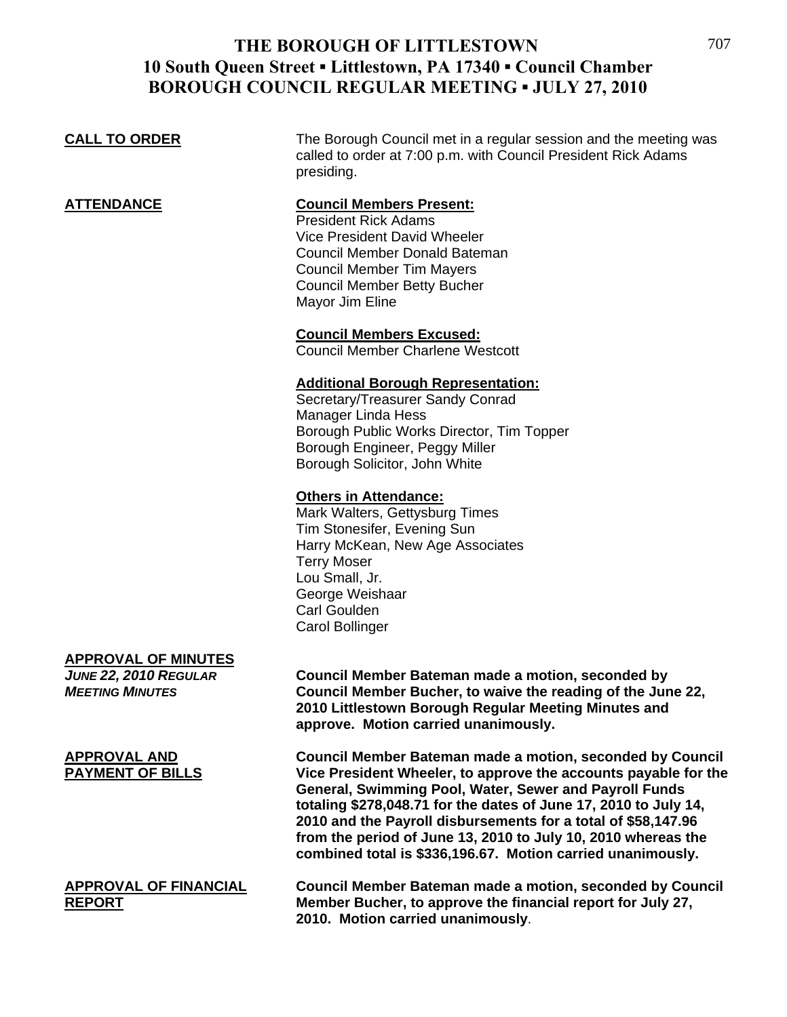#### **CALL TO ORDER** The Borough Council met in a regular session and the meeting was called to order at 7:00 p.m. with Council President Rick Adams presiding. **ATTENDANCE Council Members Present:** President Rick Adams Vice President David Wheeler Council Member Donald Bateman Council Member Tim Mayers Council Member Betty Bucher Mayor Jim Eline **Council Members Excused:** Council Member Charlene Westcott **Additional Borough Representation:** Secretary/Treasurer Sandy Conrad Manager Linda Hess Borough Public Works Director, Tim Topper Borough Engineer, Peggy Miller Borough Solicitor, John White **Others in Attendance:** Mark Walters, Gettysburg Times

 Tim Stonesifer, Evening Sun Harry McKean, New Age Associates Terry Moser Lou Small, Jr. George Weishaar Carl Goulden Carol Bollinger

# **APPROVAL OF MINUTES**

*JUNE 22, 2010 REGULAR* **Council Member Bateman made a motion, seconded by Council Member Bucher, to waive the reading of the June 22, 2010 Littlestown Borough Regular Meeting Minutes and approve. Motion carried unanimously.**

**APPROVAL AND Council Member Bateman made a motion, seconded by Council PAYMENT OF BILLS Vice President Wheeler, to approve the accounts payable for the General, Swimming Pool, Water, Sewer and Payroll Funds totaling \$278,048.71 for the dates of June 17, 2010 to July 14, 2010 and the Payroll disbursements for a total of \$58,147.96 from the period of June 13, 2010 to July 10, 2010 whereas the combined total is \$336,196.67. Motion carried unanimously.** 

**APPROVAL OF FINANCIAL Council Member Bateman made a motion, seconded by Council REPORT Member Bucher, to approve the financial report for July 27, 2010. Motion carried unanimously**.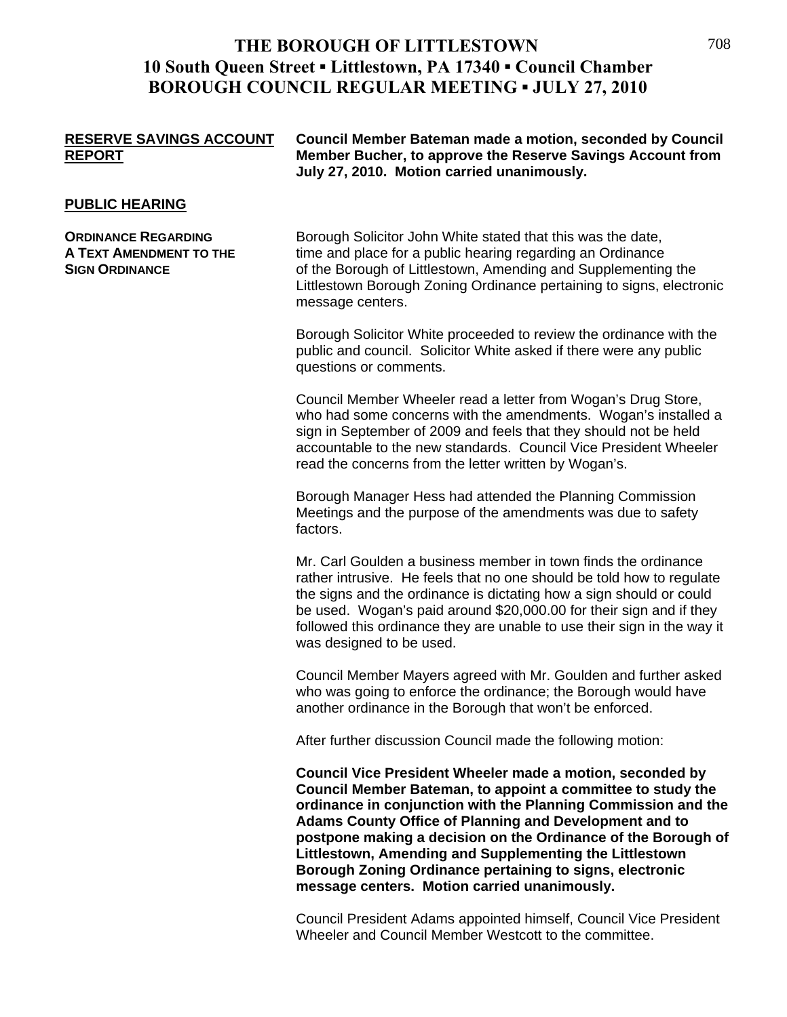| <b>RESERVE SAVINGS ACCOUNT</b> | Council Member Bateman made a motion, seconded by Council  |
|--------------------------------|------------------------------------------------------------|
| <b>REPORT</b>                  | Member Bucher, to approve the Reserve Savings Account from |
|                                | July 27, 2010. Motion carried unanimously.                 |

#### **PUBLIC HEARING**

**A TEXT AMENDMENT TO THE SIGN ORDINANCE**

Littlestown Borough Zoning Ordinance pertaining to signs, electronic **ORDINANCE REGARDING Borough Solicitor John White stated that this was the date,** time and place for a public hearing regarding an Ordinance of the Borough of Littlestown, Amending and Supplementing the message centers.

> Borough Solicitor White proceeded to review the ordinance with the public and council. Solicitor White asked if there were any public questions or comments.

who had some concerns with the amendments. Wogan's installed a accountable to the new standards. Council Vice President Wheeler read the concerns from the letter written by Wogan's. Council Member Wheeler read a letter from Wogan's Drug Store, sign in September of 2009 and feels that they should not be held

Meetings and the purpose of the amendments was due to safety factors. Borough Manager Hess had attended the Planning Commission

followed this ordinance they are unable to use their sign in the way it was designed to be used. Mr. Carl Goulden a business member in town finds the ordinance rather intrusive. He feels that no one should be told how to regulate the signs and the ordinance is dictating how a sign should or could be used. Wogan's paid around \$20,000.00 for their sign and if they

Council Member Mayers agreed with Mr. Goulden and further asked who was going to enforce the ordinance; the Borough would have another ordinance in the Borough that won't be enforced.

After further discussion Council made the following motion:

ordinance in conjunction with the Planning Commission and the **gh of postpone making a decision on the Ordinance of the Borou Borough Zoning Ordinance pertaining to signs, electronic message centers. Motion carried unanimously. Council Vice President Wheeler made a motion, seconded by Council Member Bateman, to appoint a committee to study the Adams County Office of Planning and Development and to Littlestown, Amending and Supplementing the Littlestown** 

Council President Adams appointed himself, Council Vice President Wheeler and Council Member Westcott to the committee.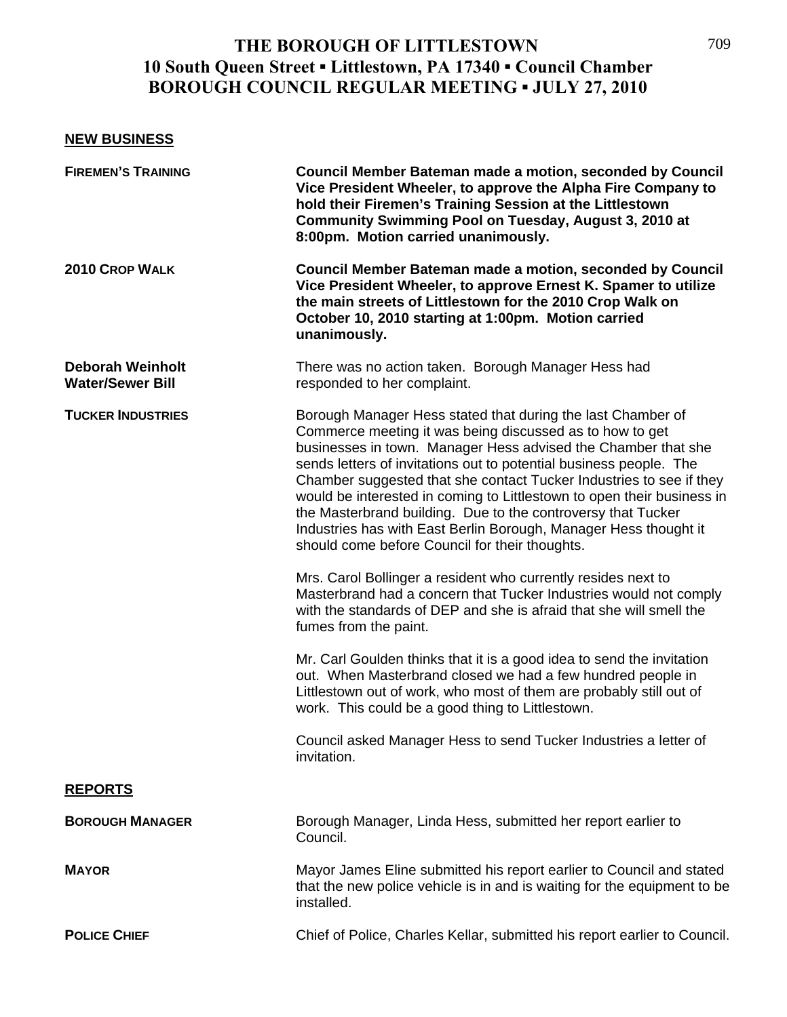#### **NEW BUSINESS**

| <b>FIREMEN'S TRAINING</b>                          | <b>Council Member Bateman made a motion, seconded by Council</b><br>Vice President Wheeler, to approve the Alpha Fire Company to<br>hold their Firemen's Training Session at the Littlestown<br>Community Swimming Pool on Tuesday, August 3, 2010 at<br>8:00pm. Motion carried unanimously.                                                                                                                                                                                                                                                                                                          |
|----------------------------------------------------|-------------------------------------------------------------------------------------------------------------------------------------------------------------------------------------------------------------------------------------------------------------------------------------------------------------------------------------------------------------------------------------------------------------------------------------------------------------------------------------------------------------------------------------------------------------------------------------------------------|
| 2010 CROP WALK                                     | Council Member Bateman made a motion, seconded by Council<br>Vice President Wheeler, to approve Ernest K. Spamer to utilize<br>the main streets of Littlestown for the 2010 Crop Walk on<br>October 10, 2010 starting at 1:00pm. Motion carried<br>unanimously.                                                                                                                                                                                                                                                                                                                                       |
| <b>Deborah Weinholt</b><br><b>Water/Sewer Bill</b> | There was no action taken. Borough Manager Hess had<br>responded to her complaint.                                                                                                                                                                                                                                                                                                                                                                                                                                                                                                                    |
| <b>TUCKER INDUSTRIES</b>                           | Borough Manager Hess stated that during the last Chamber of<br>Commerce meeting it was being discussed as to how to get<br>businesses in town. Manager Hess advised the Chamber that she<br>sends letters of invitations out to potential business people. The<br>Chamber suggested that she contact Tucker Industries to see if they<br>would be interested in coming to Littlestown to open their business in<br>the Masterbrand building. Due to the controversy that Tucker<br>Industries has with East Berlin Borough, Manager Hess thought it<br>should come before Council for their thoughts. |
|                                                    | Mrs. Carol Bollinger a resident who currently resides next to<br>Masterbrand had a concern that Tucker Industries would not comply<br>with the standards of DEP and she is afraid that she will smell the<br>fumes from the paint.                                                                                                                                                                                                                                                                                                                                                                    |
|                                                    | Mr. Carl Goulden thinks that it is a good idea to send the invitation<br>out. When Masterbrand closed we had a few hundred people in<br>Littlestown out of work, who most of them are probably still out of<br>work. This could be a good thing to Littlestown.                                                                                                                                                                                                                                                                                                                                       |
|                                                    | Council asked Manager Hess to send Tucker Industries a letter of<br>invitation.                                                                                                                                                                                                                                                                                                                                                                                                                                                                                                                       |
| <b>REPORTS</b>                                     |                                                                                                                                                                                                                                                                                                                                                                                                                                                                                                                                                                                                       |
| <b>BOROUGH MANAGER</b>                             | Borough Manager, Linda Hess, submitted her report earlier to<br>Council.                                                                                                                                                                                                                                                                                                                                                                                                                                                                                                                              |
| <b>MAYOR</b>                                       | Mayor James Eline submitted his report earlier to Council and stated<br>that the new police vehicle is in and is waiting for the equipment to be<br>installed.                                                                                                                                                                                                                                                                                                                                                                                                                                        |
| <b>POLICE CHIEF</b>                                | Chief of Police, Charles Kellar, submitted his report earlier to Council.                                                                                                                                                                                                                                                                                                                                                                                                                                                                                                                             |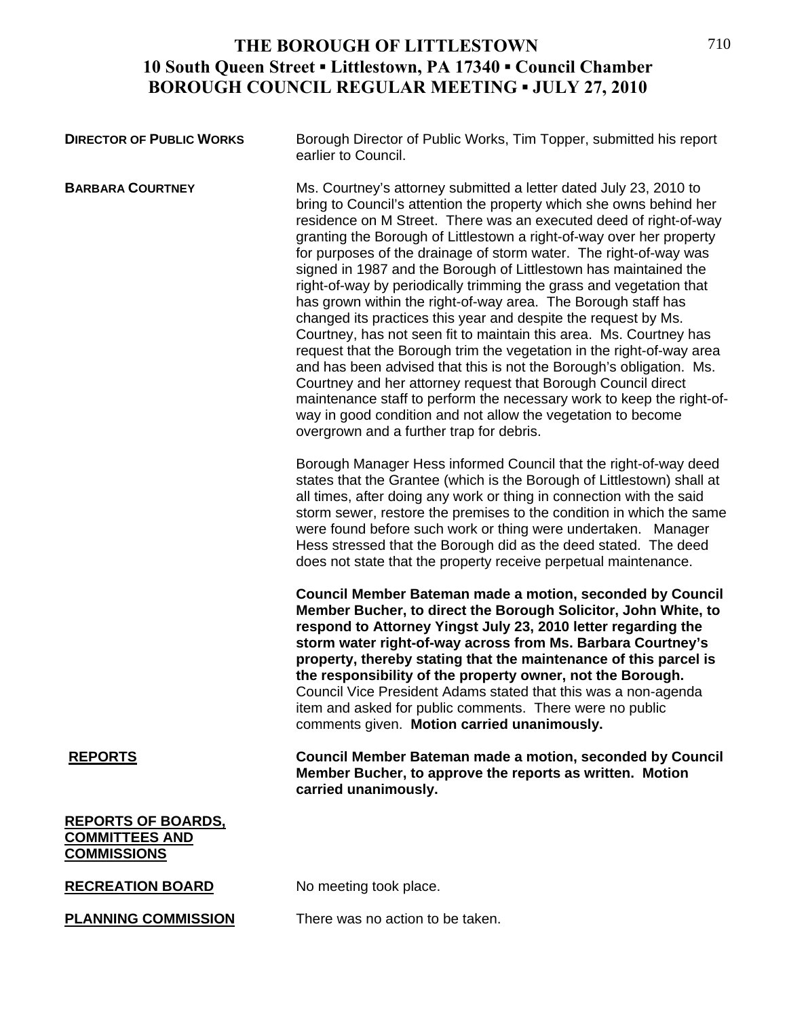| <b>DIRECTOR OF PUBLIC WORKS</b>                                          | Borough Director of Public Works, Tim Topper, submitted his report<br>earlier to Council.                                                                                                                                                                                                                                                                                                                                                                                                                                                                                                                                                                                                                                                                                                                                                                                                                                                                                                                                                                                                                            |
|--------------------------------------------------------------------------|----------------------------------------------------------------------------------------------------------------------------------------------------------------------------------------------------------------------------------------------------------------------------------------------------------------------------------------------------------------------------------------------------------------------------------------------------------------------------------------------------------------------------------------------------------------------------------------------------------------------------------------------------------------------------------------------------------------------------------------------------------------------------------------------------------------------------------------------------------------------------------------------------------------------------------------------------------------------------------------------------------------------------------------------------------------------------------------------------------------------|
| <b>BARBARA COURTNEY</b>                                                  | Ms. Courtney's attorney submitted a letter dated July 23, 2010 to<br>bring to Council's attention the property which she owns behind her<br>residence on M Street. There was an executed deed of right-of-way<br>granting the Borough of Littlestown a right-of-way over her property<br>for purposes of the drainage of storm water. The right-of-way was<br>signed in 1987 and the Borough of Littlestown has maintained the<br>right-of-way by periodically trimming the grass and vegetation that<br>has grown within the right-of-way area. The Borough staff has<br>changed its practices this year and despite the request by Ms.<br>Courtney, has not seen fit to maintain this area. Ms. Courtney has<br>request that the Borough trim the vegetation in the right-of-way area<br>and has been advised that this is not the Borough's obligation. Ms.<br>Courtney and her attorney request that Borough Council direct<br>maintenance staff to perform the necessary work to keep the right-of-<br>way in good condition and not allow the vegetation to become<br>overgrown and a further trap for debris. |
|                                                                          | Borough Manager Hess informed Council that the right-of-way deed<br>states that the Grantee (which is the Borough of Littlestown) shall at<br>all times, after doing any work or thing in connection with the said<br>storm sewer, restore the premises to the condition in which the same<br>were found before such work or thing were undertaken. Manager<br>Hess stressed that the Borough did as the deed stated. The deed<br>does not state that the property receive perpetual maintenance.                                                                                                                                                                                                                                                                                                                                                                                                                                                                                                                                                                                                                    |
|                                                                          | Council Member Bateman made a motion, seconded by Council<br>Member Bucher, to direct the Borough Solicitor, John White, to<br>respond to Attorney Yingst July 23, 2010 letter regarding the<br>storm water right-of-way across from Ms. Barbara Courtney's<br>property, thereby stating that the maintenance of this parcel is<br>the responsibility of the property owner, not the Borough.<br>Council Vice President Adams stated that this was a non-agenda<br>item and asked for public comments. There were no public<br>comments given. Motion carried unanimously.                                                                                                                                                                                                                                                                                                                                                                                                                                                                                                                                           |
| <b>REPORTS</b>                                                           | Council Member Bateman made a motion, seconded by Council<br>Member Bucher, to approve the reports as written. Motion<br>carried unanimously.                                                                                                                                                                                                                                                                                                                                                                                                                                                                                                                                                                                                                                                                                                                                                                                                                                                                                                                                                                        |
| <b>REPORTS OF BOARDS,</b><br><b>COMMITTEES AND</b><br><b>COMMISSIONS</b> |                                                                                                                                                                                                                                                                                                                                                                                                                                                                                                                                                                                                                                                                                                                                                                                                                                                                                                                                                                                                                                                                                                                      |
| <b>RECREATION BOARD</b>                                                  | No meeting took place.                                                                                                                                                                                                                                                                                                                                                                                                                                                                                                                                                                                                                                                                                                                                                                                                                                                                                                                                                                                                                                                                                               |
| <b>PLANNING COMMISSION</b>                                               | There was no action to be taken.                                                                                                                                                                                                                                                                                                                                                                                                                                                                                                                                                                                                                                                                                                                                                                                                                                                                                                                                                                                                                                                                                     |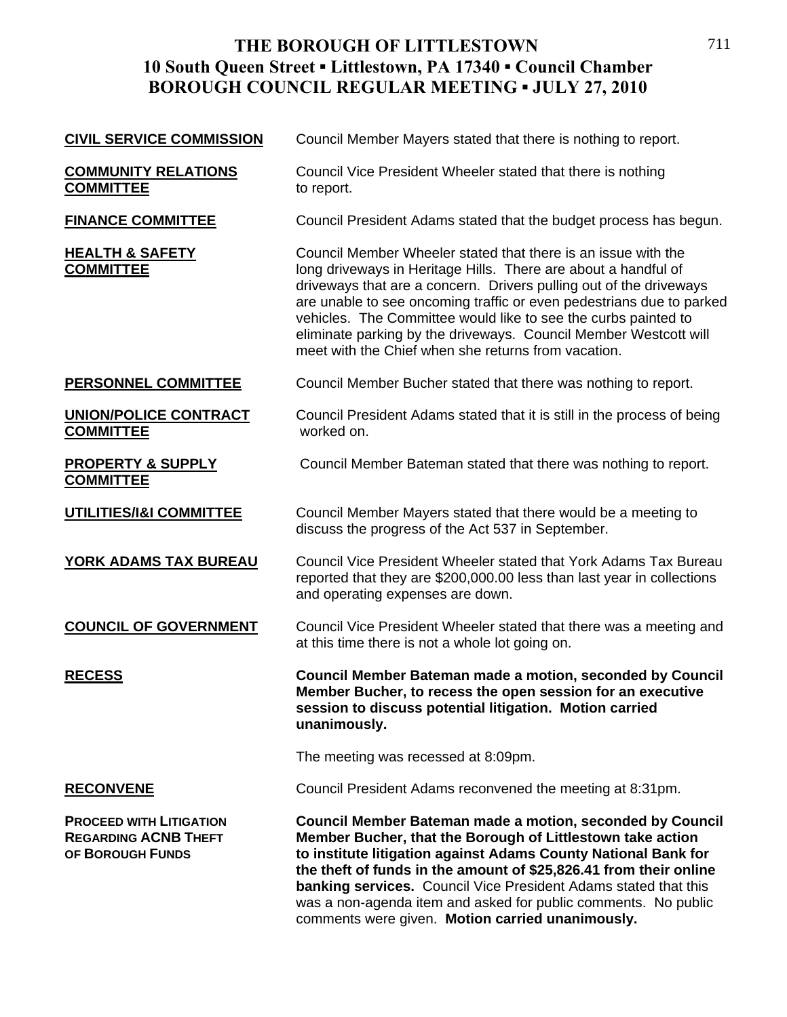| <b>CIVIL SERVICE COMMISSION</b>                                                   | Council Member Mayers stated that there is nothing to report.                                                                                                                                                                                                                                                                                                                                                                                                              |
|-----------------------------------------------------------------------------------|----------------------------------------------------------------------------------------------------------------------------------------------------------------------------------------------------------------------------------------------------------------------------------------------------------------------------------------------------------------------------------------------------------------------------------------------------------------------------|
| <b>COMMUNITY RELATIONS</b><br><b>COMMITTEE</b>                                    | Council Vice President Wheeler stated that there is nothing<br>to report.                                                                                                                                                                                                                                                                                                                                                                                                  |
| <b>FINANCE COMMITTEE</b>                                                          | Council President Adams stated that the budget process has begun.                                                                                                                                                                                                                                                                                                                                                                                                          |
| <b>HEALTH &amp; SAFETY</b><br><b>COMMITTEE</b>                                    | Council Member Wheeler stated that there is an issue with the<br>long driveways in Heritage Hills. There are about a handful of<br>driveways that are a concern. Drivers pulling out of the driveways<br>are unable to see oncoming traffic or even pedestrians due to parked<br>vehicles. The Committee would like to see the curbs painted to<br>eliminate parking by the driveways. Council Member Westcott will<br>meet with the Chief when she returns from vacation. |
| PERSONNEL COMMITTEE                                                               | Council Member Bucher stated that there was nothing to report.                                                                                                                                                                                                                                                                                                                                                                                                             |
| <b>UNION/POLICE CONTRACT</b><br><b>COMMITTEE</b>                                  | Council President Adams stated that it is still in the process of being<br>worked on.                                                                                                                                                                                                                                                                                                                                                                                      |
| <b>PROPERTY &amp; SUPPLY</b><br><b>COMMITTEE</b>                                  | Council Member Bateman stated that there was nothing to report.                                                                                                                                                                                                                                                                                                                                                                                                            |
| UTILITIES/I&I COMMITTEE                                                           | Council Member Mayers stated that there would be a meeting to<br>discuss the progress of the Act 537 in September.                                                                                                                                                                                                                                                                                                                                                         |
| <b>YORK ADAMS TAX BUREAU</b>                                                      | Council Vice President Wheeler stated that York Adams Tax Bureau<br>reported that they are \$200,000.00 less than last year in collections<br>and operating expenses are down.                                                                                                                                                                                                                                                                                             |
| <b>COUNCIL OF GOVERNMENT</b>                                                      | Council Vice President Wheeler stated that there was a meeting and<br>at this time there is not a whole lot going on.                                                                                                                                                                                                                                                                                                                                                      |
| <u>RECESS</u>                                                                     | Council Member Bateman made a motion, seconded by Council<br>Member Bucher, to recess the open session for an executive<br>session to discuss potential litigation. Motion carried<br>unanimously.                                                                                                                                                                                                                                                                         |
|                                                                                   | The meeting was recessed at 8:09pm.                                                                                                                                                                                                                                                                                                                                                                                                                                        |
| <b>RECONVENE</b>                                                                  | Council President Adams reconvened the meeting at 8:31pm.                                                                                                                                                                                                                                                                                                                                                                                                                  |
| <b>PROCEED WITH LITIGATION</b><br><b>REGARDING ACNB THEFT</b><br>OF BOROUGH FUNDS | Council Member Bateman made a motion, seconded by Council<br>Member Bucher, that the Borough of Littlestown take action<br>to institute litigation against Adams County National Bank for<br>the theft of funds in the amount of \$25,826.41 from their online<br><b>banking services.</b> Council Vice President Adams stated that this<br>was a non-agenda item and asked for public comments. No public<br>comments were given. Motion carried unanimously.             |